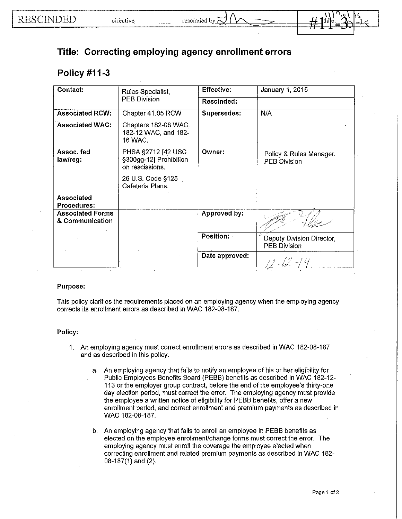## **Title: Correcting employing agency enrollment errors**

## **Policy #11-3**

| Contact:                                   | Rules Specialist,<br><b>PEB Division</b>                        | <b>Effective:</b> | January 1, 2015                                  |
|--------------------------------------------|-----------------------------------------------------------------|-------------------|--------------------------------------------------|
|                                            |                                                                 | Rescinded:        |                                                  |
| <b>Associated RCW:</b>                     | Chapter 41.05 RCW                                               | Supersedes:       | N/A                                              |
| <b>Associated WAC:</b>                     | Chapters 182-08 WAC,<br>182-12 WAC, and 182-<br>16 WAC.         |                   |                                                  |
| Assoc. fed<br>law/reg:                     | PHSA §2712 [42 USC<br>§300gg-12] Prohibition<br>on rescissions. | Owner:            | Policy & Rules Manager,<br><b>PEB Division</b>   |
|                                            | 26 U.S. Code §125<br>Cafeteria Plans.                           |                   |                                                  |
| Associated<br><b>Procedures:</b>           |                                                                 |                   |                                                  |
| <b>Associated Forms</b><br>& Communication |                                                                 | Approved by:      |                                                  |
|                                            |                                                                 | Position:         | Deputy Division Director,<br><b>PEB Division</b> |
|                                            |                                                                 | Date approved:    |                                                  |

## **Purpose:**

This policy clarifies the requirements placed on an employing agency when the employing agency corrects its enrollment errors as described in WAC 182-08-187.

## **Policy:**

- 1. An employing agency must correct enrollment errors as described **in** WAC 182-08-187 and as described in this policy.
	- a. An employing agency that fails to notify an employee of his or her eligibility for Public Employees Benefits Board (PEBB) benefits as described in WAC 182-12- 113 or the employer group contract, before the end of the employee's thirty-one day election period, must correct the error. The employing agency must provide the employee a written notice of eligibility for PEBB benefits, offer a new enrollment period, and correct enrollment and premium payments as described in WAC 182-08-187.
	- b. An employing agency that fails to enroll an employee in PEBB benefits as elected on the employee enrollmenUchange forms must correct the error. The employing agency must enroll the coverage the employee elected when correcting enrollment and related premium payments as described in WAC 182- 08-187(1) and (2).